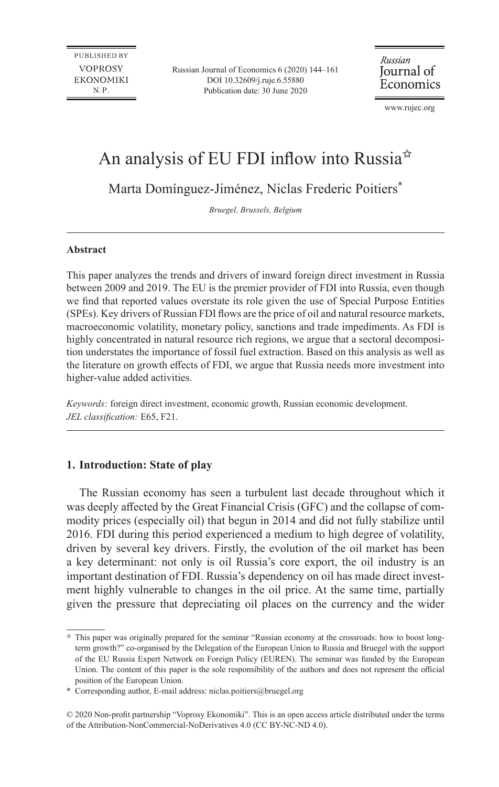**PUBLISHED BY VOPROSY EKONOMIKI** N.P.

Russian Journal of Economics 6 (2020) 144–161 DOI 10.32609/j.ruje.6.55880 Publication date: 30 June 2020

Russian Journal of Economics

www.rujec.org

# An analysis of EU FDI inflow into Russia<sup>\*</sup>

Marta Domínguez-Jiménez, Niclas Frederic Poitiers\*

*Bruegel, Brussels, Belgium*

#### **Abstract**

This paper analyzes the trends and drivers of inward foreign direct investment in Russia between 2009 and 2019. The EU is the premier provider of FDI into Russia, even though we find that reported values overstate its role given the use of Special Purpose Entities (SPEs). Key drivers of Russian FDI flows are the price of oil and natural resource markets, macroeconomic volatility, monetary policy, sanctions and trade impediments. As FDI is highly concentrated in natural resource rich regions, we argue that a sectoral decomposition understates the importance of fossil fuel extraction. Based on this analysis as well as the literature on growth effects of FDI, we argue that Russia needs more investment into higher-value added activities.

*Keywords:* foreign direct investment, economic growth, Russian economic development. *JEL classification:* E65, F21.

## **1. Introduction: State of play**

The Russian economy has seen a turbulent last decade throughout which it was deeply affected by the Great Financial Crisis (GFC) and the collapse of commodity prices (especially oil) that begun in 2014 and did not fully stabilize until 2016. FDI during this period experienced a medium to high degree of volatility, driven by several key drivers. Firstly, the evolution of the oil market has been a key determinant: not only is oil Russia's core export, the oil industry is an important destination of FDI. Russia's dependency on oil has made direct investment highly vulnerable to changes in the oil price. At the same time, partially given the pressure that depreciating oil places on the currency and the wider

 $\dot{\sigma}$  This paper was originally prepared for the seminar "Russian economy at the crossroads: how to boost longterm growth?" co-organised by the Delegation of the European Union to Russia and Bruegel with the support of the EU Russia Expert Network on Foreign Policy (EUREN). The seminar was funded by the European Union. The content of this paper is the sole responsibility of the authors and does not represent the official position of the European Union.

<sup>\*</sup> Corresponding author, E-mail address: [niclas.poitiers@bruegel.org](mailto:niclas.poitiers@bruegel.org)

<sup>© 2020</sup> Non-profit partnership "Voprosy Ekonomiki". This is an open access article distributed under the terms of the [Attribution-NonCommercial-NoDerivatives 4.0 \(CC BY-NC-ND 4.0\)](http://creativecommons.org/licenses/by-nc-nd/4.0/).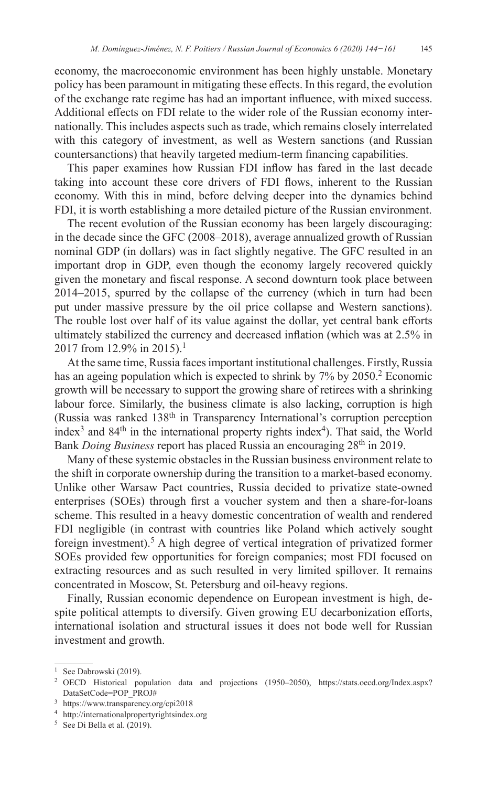economy, the macroeconomic environment has been highly unstable. Monetary policy has been paramount in mitigating these effects. In this regard, the evolution of the exchange rate regime has had an important influence, with mixed success. Additional effects on FDI relate to the wider role of the Russian economy internationally. This includes aspects such as trade, which remains closely interrelated with this category of investment, as well as Western sanctions (and Russian countersanctions) that heavily targeted medium-term financing capabilities.

This paper examines how Russian FDI inflow has fared in the last decade taking into account these core drivers of FDI flows, inherent to the Russian economy. With this in mind, before delving deeper into the dynamics behind FDI, it is worth establishing a more detailed picture of the Russian environment.

The recent evolution of the Russian economy has been largely discouraging: in the decade since the GFC (2008–2018), average annualized growth of Russian nominal GDP (in dollars) was in fact slightly negative. The GFC resulted in an important drop in GDP, even though the economy largely recovered quickly given the monetary and fiscal response. A second downturn took place between 2014–2015, spurred by the collapse of the currency (which in turn had been put under massive pressure by the oil price collapse and Western sanctions). The rouble lost over half of its value against the dollar, yet central bank efforts ultimately stabilized the currency and decreased inflation (which was at 2.5% in 2017 from 12.9% in 2015).<sup>1</sup>

At the same time, Russia faces important institutional challenges. Firstly, Russia has an ageing population which is expected to shrink by  $7\%$  by  $2050$ .<sup>2</sup> Economic growth will be necessary to support the growing share of retirees with a shrinking labour force. Similarly, the business climate is also lacking, corruption is high (Russia was ranked  $138<sup>th</sup>$  in Transparency International's corruption perception index<sup>3</sup> and  $84<sup>th</sup>$  in the international property rights index<sup>4</sup>). That said, the World Bank *Doing Business* report has placed Russia an encouraging 28<sup>th</sup> in 2019.

Many of these systemic obstacles in the Russian business environment relate to the shift in corporate ownership during the transition to a market-based economy. Unlike other Warsaw Pact countries, Russia decided to privatize state-owned enterprises (SOEs) through first a voucher system and then a share-for-loans scheme. This resulted in a heavy domestic concentration of wealth and rendered FDI negligible (in contrast with countries like Poland which actively sought foreign investment).<sup>5</sup> A high degree of vertical integration of privatized former SOEs provided few opportunities for foreign companies; most FDI focused on extracting resources and as such resulted in very limited spillover. It remains concentrated in Moscow, St. Petersburg and oil-heavy regions.

Finally, Russian economic dependence on European investment is high, despite political attempts to diversify. Given growing EU decarbonization efforts, international isolation and structural issues it does not bode well for Russian investment and growth.

<sup>&</sup>lt;sup>1</sup> See Dabrowski (2019).

<sup>2</sup> OECD Historical population data and projections (1950–2050), <https://stats.oecd.org/Index.aspx?> DataSetCode=POP\_PROJ#

<sup>3</sup> <https://www.transparency.org/cpi2018>

<sup>4</sup> <http://internationalpropertyrightsindex.org>

<sup>5</sup> See Di Bella et al. (2019).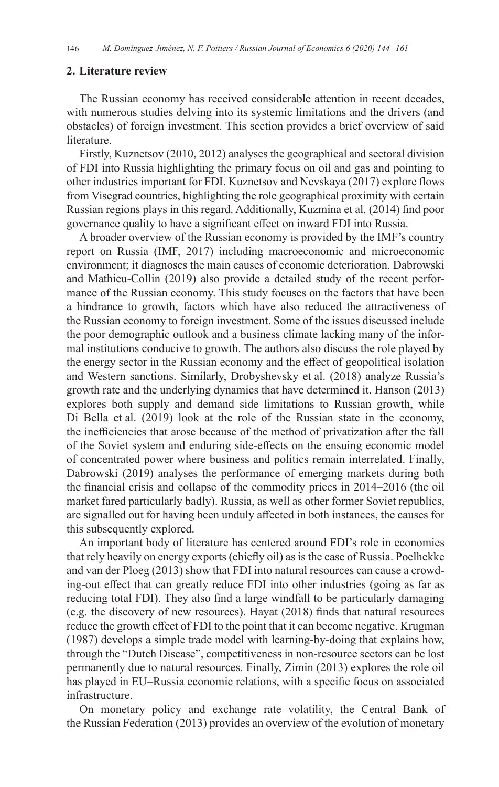#### **2. Literature review**

The Russian economy has received considerable attention in recent decades, with numerous studies delving into its systemic limitations and the drivers (and obstacles) of foreign investment. This section provides a brief overview of said literature.

Firstly, Kuznetsov (2010, 2012) analyses the geographical and sectoral division of FDI into Russia highlighting the primary focus on oil and gas and pointing to other industries important for FDI. Kuznetsov and Nevskaya (2017) explore flows from Visegrad countries, highlighting the role geographical proximity with certain Russian regions plays in this regard. Additionally, Kuzmina et al. (2014) find poor governance quality to have a significant effect on inward FDI into Russia.

A broader overview of the Russian economy is provided by the IMF's country report on Russia (IMF, 2017) including macroeconomic and microeconomic environment; it diagnoses the main causes of economic deterioration. Dabrowski and Mathieu-Collin (2019) also provide a detailed study of the recent performance of the Russian economy. This study focuses on the factors that have been a hindrance to growth, factors which have also reduced the attractiveness of the Russian economy to foreign investment. Some of the issues discussed include the poor demographic outlook and a business climate lacking many of the informal institutions conducive to growth. The authors also discuss the role played by the energy sector in the Russian economy and the effect of geopolitical isolation and Western sanctions. Similarly, Drobyshevsky et al. (2018) analyze Russia's growth rate and the underlying dynamics that have determined it. Hanson (2013) explores both supply and demand side limitations to Russian growth, while Di Bella et al. (2019) look at the role of the Russian state in the economy, the inefficiencies that arose because of the method of privatization after the fall of the Soviet system and enduring side-effects on the ensuing economic model of concentrated power where business and politics remain interrelated. Finally, Dabrowski (2019) analyses the performance of emerging markets during both the financial crisis and collapse of the commodity prices in 2014–2016 (the oil market fared particularly badly). Russia, as well as other former Soviet republics, are signalled out for having been unduly affected in both instances, the causes for this subsequently explored.

An important body of literature has centered around FDI's role in economies that rely heavily on energy exports (chiefly oil) as is the case of Russia. Poelhekke and van der Ploeg (2013) show that FDI into natural resources can cause a crowding-out effect that can greatly reduce FDI into other industries (going as far as reducing total FDI). They also find a large windfall to be particularly damaging (e.g. the discovery of new resources). Hayat (2018) finds that natural resources reduce the growth effect of FDI to the point that it can become negative. Krugman (1987) develops a simple trade model with learning-by-doing that explains how, through the "Dutch Disease", competitiveness in non-resource sectors can be lost permanently due to natural resources. Finally, Zimin (2013) explores the role oil has played in EU–Russia economic relations, with a specific focus on associated infrastructure.

On monetary policy and exchange rate volatility, the Central Bank of the Russian Federation (2013) provides an overview of the evolution of monetary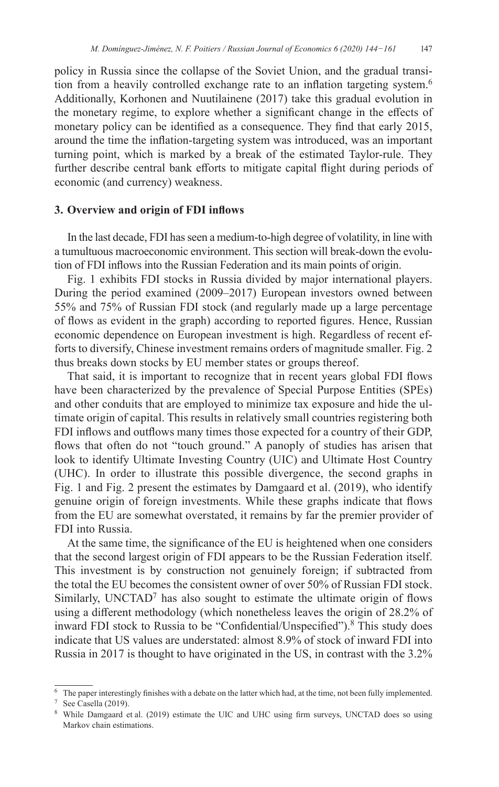policy in Russia since the collapse of the Soviet Union, and the gradual transition from a heavily controlled exchange rate to an inflation targeting system.<sup>6</sup> Additionally, Korhonen and Nuutilainene (2017) take this gradual evolution in the monetary regime, to explore whether a significant change in the effects of monetary policy can be identified as a consequence. They find that early 2015, around the time the inflation-targeting system was introduced, was an important turning point, which is marked by a break of the estimated Taylor-rule. They further describe central bank efforts to mitigate capital flight during periods of economic (and currency) weakness.

#### **3. Overview and origin of FDI inflows**

In the last decade, FDI has seen a medium-to-high degree of volatility, in line with a tumultuous macroeconomic environment. This section will break-down the evolution of FDI inflows into the Russian Federation and its main points of origin.

Fig. 1 exhibits FDI stocks in Russia divided by major international players. During the period examined (2009–2017) European investors owned between 55% and 75% of Russian FDI stock (and regularly made up a large percentage of flows as evident in the graph) according to reported figures. Hence, Russian economic dependence on European investment is high. Regardless of recent efforts to diversify, Chinese investment remains orders of magnitude smaller. Fig. 2 thus breaks down stocks by EU member states or groups thereof.

That said, it is important to recognize that in recent years global FDI flows have been characterized by the prevalence of Special Purpose Entities (SPEs) and other conduits that are employed to minimize tax exposure and hide the ultimate origin of capital. This results in relatively small countries registering both FDI inflows and outflows many times those expected for a country of their GDP, flows that often do not "touch ground." A panoply of studies has arisen that look to identify Ultimate Investing Country (UIC) and Ultimate Host Country (UHC). In order to illustrate this possible divergence, the second graphs in Fig. 1 and Fig. 2 present the estimates by Damgaard et al. (2019), who identify genuine origin of foreign investments. While these graphs indicate that flows from the EU are somewhat overstated, it remains by far the premier provider of FDI into Russia.

At the same time, the significance of the EU is heightened when one considers that the second largest origin of FDI appears to be the Russian Federation itself. This investment is by construction not genuinely foreign; if subtracted from the total the EU becomes the consistent owner of over 50% of Russian FDI stock. Similarly, UNCTAD<sup>7</sup> has also sought to estimate the ultimate origin of flows using a different methodology (which nonetheless leaves the origin of 28.2% of inward FDI stock to Russia to be "Confidential/Unspecified").<sup>8</sup> This study does indicate that US values are understated: almost 8.9% of stock of inward FDI into Russia in 2017 is thought to have originated in the US, in contrast with the 3.2%

 $6\text{ The paper interestingly finishes with a debate on the latter which had, at the time, not been fully implemented.}$ 

<sup>7</sup> See Casella (2019).

<sup>8</sup> While Damgaard et al. (2019) estimate the UIC and UHC using firm surveys, UNCTAD does so using Markov chain estimations.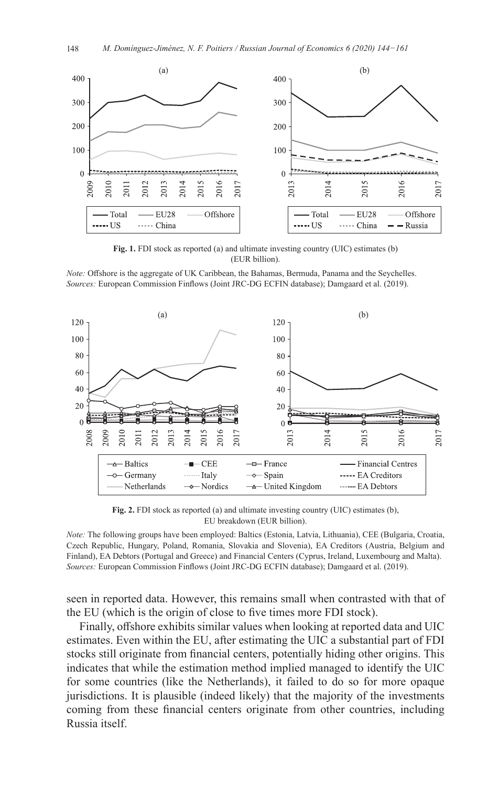

**Fig. 1.** FDI stock as reported (a) and ultimate investing country (UIC) estimates (b) (EUR billion).

*Note:* Offshore is the aggregate of UK Caribbean, the Bahamas, Bermuda, Panama and the Seychelles. *Sources:* European Commission Finflows (Joint JRC-DG ECFIN database); Damgaard et al. (2019).



**Fig. 2.** FDI stock as reported (a) and ultimate investing country (UIC) estimates (b), EU breakdown (EUR billion).

*Note:* The following groups have been employed: Baltics (Estonia, Latvia, Lithuania), CEE (Bulgaria, Croatia, Czech Republic, Hungary, Poland, Romania, Slovakia and Slovenia), EA Creditors (Austria, Belgium and Finland), EA Debtors (Portugal and Greece) and Financial Centers (Cyprus, Ireland, Luxembourg and Malta). *Sources:* European Commission Finflows (Joint JRC-DG ECFIN database); Damgaard et al. (2019).

seen in reported data. However, this remains small when contrasted with that of the EU (which is the origin of close to five times more FDI stock).

Finally, offshore exhibits similar values when looking at reported data and UIC estimates. Even within the EU, after estimating the UIC a substantial part of FDI stocks still originate from financial centers, potentially hiding other origins. This indicates that while the estimation method implied managed to identify the UIC for some countries (like the Netherlands), it failed to do so for more opaque jurisdictions. It is plausible (indeed likely) that the majority of the investments coming from these financial centers originate from other countries, including Russia itself.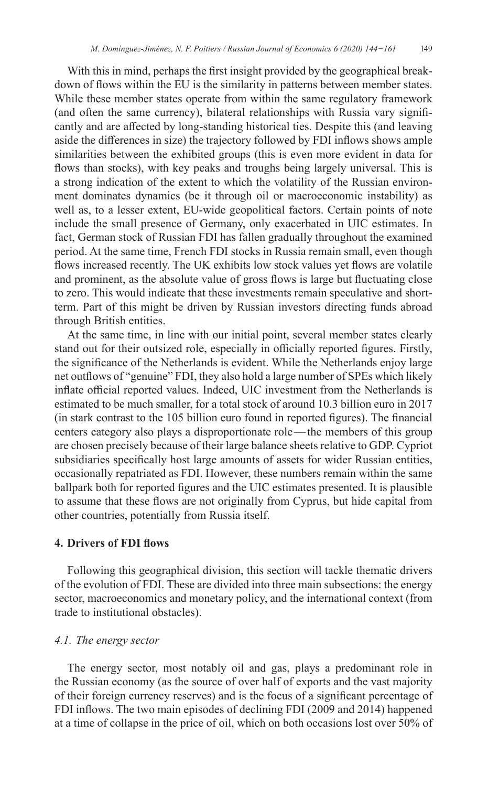With this in mind, perhaps the first insight provided by the geographical breakdown of flows within the EU is the similarity in patterns between member states. While these member states operate from within the same regulatory framework (and often the same currency), bilateral relationships with Russia vary significantly and are affected by long-standing historical ties. Despite this (and leaving aside the differences in size) the trajectory followed by FDI inflows shows ample similarities between the exhibited groups (this is even more evident in data for flows than stocks), with key peaks and troughs being largely universal. This is a strong indication of the extent to which the volatility of the Russian environment dominates dynamics (be it through oil or macroeconomic instability) as well as, to a lesser extent, EU-wide geopolitical factors. Certain points of note include the small presence of Germany, only exacerbated in UIC estimates. In fact, German stock of Russian FDI has fallen gradually throughout the examined period. At the same time, French FDI stocks in Russia remain small, even though flows increased recently. The UK exhibits low stock values yet flows are volatile and prominent, as the absolute value of gross flows is large but fluctuating close to zero. This would indicate that these investments remain speculative and shortterm. Part of this might be driven by Russian investors directing funds abroad through British entities.

At the same time, in line with our initial point, several member states clearly stand out for their outsized role, especially in officially reported figures. Firstly, the significance of the Netherlands is evident. While the Netherlands enjoy large net outflows of "genuine" FDI, they also hold a large number of SPEs which likely inflate official reported values. Indeed, UIC investment from the Netherlands is estimated to be much smaller, for a total stock of around 10.3 billion euro in 2017 (in stark contrast to the 105 billion euro found in reported figures). The financial centers category also plays a disproportionate role—the members of this group are chosen precisely because of their large balance sheets relative to GDP. Cypriot subsidiaries specifically host large amounts of assets for wider Russian entities, occasionally repatriated as FDI. However, these numbers remain within the same ballpark both for reported figures and the UIC estimates presented. It is plausible to assume that these flows are not originally from Cyprus, but hide capital from other countries, potentially from Russia itself.

## **4. Drivers of FDI flows**

Following this geographical division, this section will tackle thematic drivers of the evolution of FDI. These are divided into three main subsections: the energy sector, macroeconomics and monetary policy, and the international context (from trade to institutional obstacles).

### *4.1. The energy sector*

The energy sector, most notably oil and gas, plays a predominant role in the Russian economy (as the source of over half of exports and the vast majority of their foreign currency reserves) and is the focus of a significant percentage of FDI inflows. The two main episodes of declining FDI (2009 and 2014) happened at a time of collapse in the price of oil, which on both occasions lost over 50% of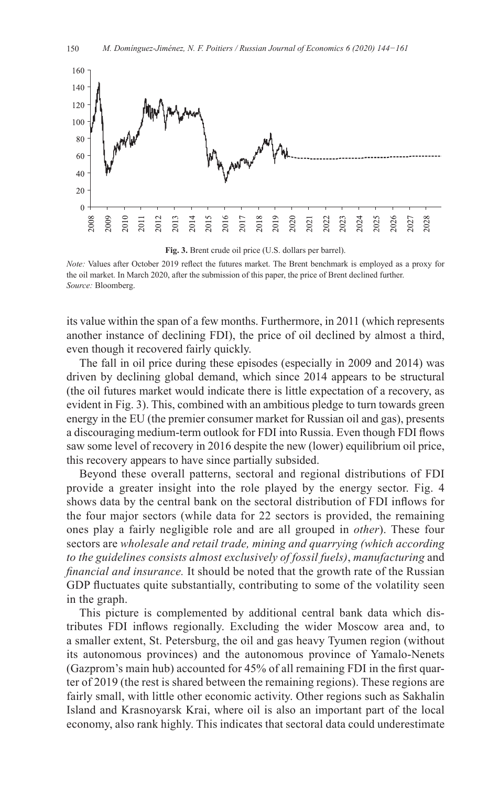

**Fig. 3.** Brent crude oil price (U.S. dollars per barrel).

*Note:* Values after October 2019 reflect the futures market. The Brent benchmark is employed as a proxy for the oil market. In March 2020, after the submission of this paper, the price of Brent declined further. *Source:* Bloomberg.

its value within the span of a few months. Furthermore, in 2011 (which represents another instance of declining FDI), the price of oil declined by almost a third, even though it recovered fairly quickly.

The fall in oil price during these episodes (especially in 2009 and 2014) was driven by declining global demand, which since 2014 appears to be structural (the oil futures market would indicate there is little expectation of a recovery, as evident in Fig. 3). This, combined with an ambitious pledge to turn towards green energy in the EU (the premier consumer market for Russian oil and gas), presents a discouraging medium-term outlook for FDI into Russia. Even though FDI flows saw some level of recovery in 2016 despite the new (lower) equilibrium oil price, this recovery appears to have since partially subsided.

Beyond these overall patterns, sectoral and regional distributions of FDI provide a greater insight into the role played by the energy sector. Fig. 4 shows data by the central bank on the sectoral distribution of FDI inflows for the four major sectors (while data for 22 sectors is provided, the remaining ones play a fairly negligible role and are all grouped in *other*). These four sectors are *wholesale and retail trade, mining and quarrying (which according to the guidelines consists almost exclusively of fossil fuels)*, *manufacturing* and *financial and insurance.* It should be noted that the growth rate of the Russian GDP fluctuates quite substantially, contributing to some of the volatility seen in the graph.

This picture is complemented by additional central bank data which distributes FDI inflows regionally. Excluding the wider Moscow area and, to a smaller extent, St. Petersburg, the oil and gas heavy Tyumen region (without its autonomous provinces) and the autonomous province of Yamalo-Nenets (Gazprom's main hub) accounted for 45% of all remaining FDI in the first quarter of 2019 (the rest is shared between the remaining regions). These regions are fairly small, with little other economic activity. Other regions such as Sakhalin Island and Krasnoyarsk Krai, where oil is also an important part of the local economy, also rank highly. This indicates that sectoral data could underestimate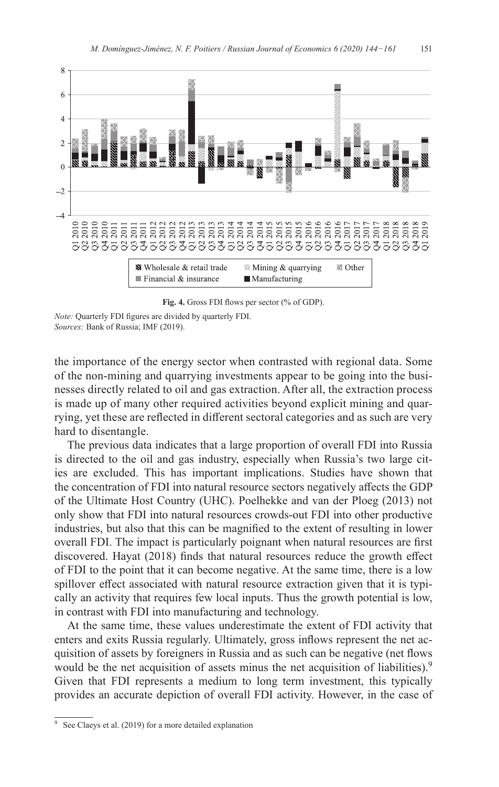

**Fig. 4.** Gross FDI flows per sector (% of GDP).

*Note:* Quarterly FDI figures are divided by quarterly FDI. *Sources:* Bank of Russia; IMF (2019).

the importance of the energy sector when contrasted with regional data. Some of the non-mining and quarrying investments appear to be going into the businesses directly related to oil and gas extraction. After all, the extraction process is made up of many other required activities beyond explicit mining and quarrying, yet these are reflected in different sectoral categories and as such are very hard to disentangle.

The previous data indicates that a large proportion of overall FDI into Russia is directed to the oil and gas industry, especially when Russia's two large cities are excluded. This has important implications. Studies have shown that the concentration of FDI into natural resource sectors negatively affects the GDP of the Ultimate Host Country (UHC). Poelhekke and van der Ploeg (2013) not only show that FDI into natural resources crowds-out FDI into other productive industries, but also that this can be magnified to the extent of resulting in lower overall FDI. The impact is particularly poignant when natural resources are first discovered. Hayat (2018) finds that natural resources reduce the growth effect of FDI to the point that it can become negative. At the same time, there is a low spillover effect associated with natural resource extraction given that it is typically an activity that requires few local inputs. Thus the growth potential is low, in contrast with FDI into manufacturing and technology.

At the same time, these values underestimate the extent of FDI activity that enters and exits Russia regularly. Ultimately, gross inflows represent the net acquisition of assets by foreigners in Russia and as such can be negative (net flows would be the net acquisition of assets minus the net acquisition of liabilities).<sup>9</sup> Given that FDI represents a medium to long term investment, this typically provides an accurate depiction of overall FDI activity. However, in the case of

<sup>9</sup> See Claeys et al. (2019) for a more detailed explanation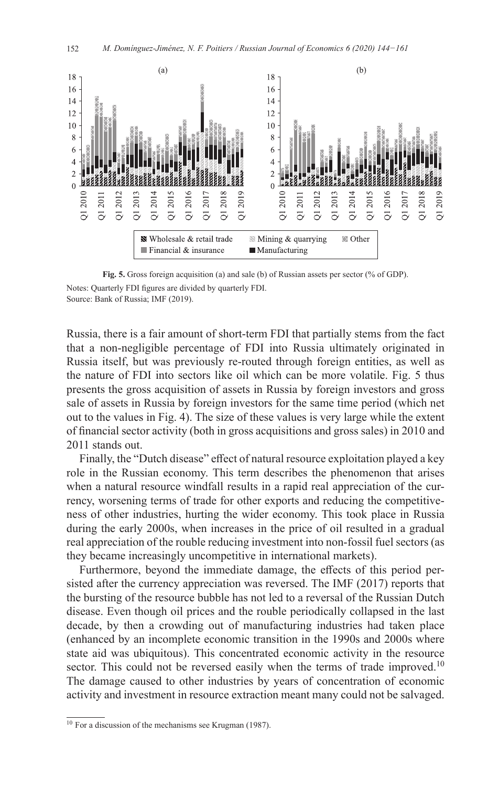

**Fig. 5.** Gross foreign acquisition (a) and sale (b) of Russian assets per sector (% of GDP).

Notes: Quarterly FDI figures are divided by quarterly FDI. Source: Bank of Russia; IMF (2019).

Russia, there is a fair amount of short-term FDI that partially stems from the fact that a non-negligible percentage of FDI into Russia ultimately originated in Russia itself, but was previously re-routed through foreign entities, as well as the nature of FDI into sectors like oil which can be more volatile. Fig. 5 thus presents the gross acquisition of assets in Russia by foreign investors and gross sale of assets in Russia by foreign investors for the same time period (which net out to the values in Fig. 4). The size of these values is very large while the extent of financial sector activity (both in gross acquisitions and gross sales) in 2010 and 2011 stands out.

Finally, the "Dutch disease" effect of natural resource exploitation played a key role in the Russian economy. This term describes the phenomenon that arises when a natural resource windfall results in a rapid real appreciation of the currency, worsening terms of trade for other exports and reducing the competitiveness of other industries, hurting the wider economy. This took place in Russia during the early 2000s, when increases in the price of oil resulted in a gradual real appreciation of the rouble reducing investment into non-fossil fuel sectors (as they became increasingly uncompetitive in international markets).

Furthermore, beyond the immediate damage, the effects of this period persisted after the currency appreciation was reversed. The IMF (2017) reports that the bursting of the resource bubble has not led to a reversal of the Russian Dutch disease. Even though oil prices and the rouble periodically collapsed in the last decade, by then a crowding out of manufacturing industries had taken place (enhanced by an incomplete economic transition in the 1990s and 2000s where state aid was ubiquitous). This concentrated economic activity in the resource sector. This could not be reversed easily when the terms of trade improved.<sup>10</sup> The damage caused to other industries by years of concentration of economic activity and investment in resource extraction meant many could not be salvaged.

<sup>10</sup> For a discussion of the mechanisms see Krugman (1987).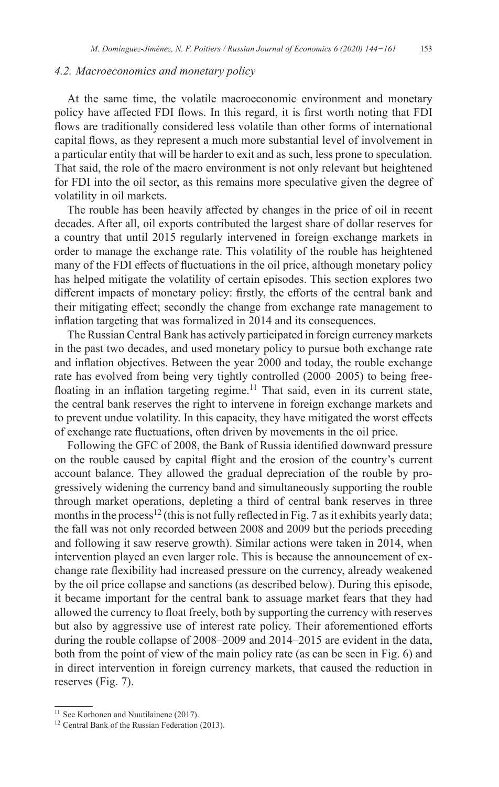## *4.2. Macroeconomics and monetary policy*

At the same time, the volatile macroeconomic environment and monetary policy have affected FDI flows. In this regard, it is first worth noting that FDI flows are traditionally considered less volatile than other forms of international capital flows, as they represent a much more substantial level of involvement in a particular entity that will be harder to exit and as such, less prone to speculation. That said, the role of the macro environment is not only relevant but heightened for FDI into the oil sector, as this remains more speculative given the degree of volatility in oil markets.

The rouble has been heavily affected by changes in the price of oil in recent decades. After all, oil exports contributed the largest share of dollar reserves for a country that until 2015 regularly intervened in foreign exchange markets in order to manage the exchange rate. This volatility of the rouble has heightened many of the FDI effects of fluctuations in the oil price, although monetary policy has helped mitigate the volatility of certain episodes. This section explores two different impacts of monetary policy: firstly, the efforts of the central bank and their mitigating effect; secondly the change from exchange rate management to inflation targeting that was formalized in 2014 and its consequences.

The Russian Central Bank has actively participated in foreign currency markets in the past two decades, and used monetary policy to pursue both exchange rate and inflation objectives. Between the year 2000 and today, the rouble exchange rate has evolved from being very tightly controlled (2000–2005) to being freefloating in an inflation targeting regime.<sup>11</sup> That said, even in its current state, the central bank reserves the right to intervene in foreign exchange markets and to prevent undue volatility. In this capacity, they have mitigated the worst effects of exchange rate fluctuations, often driven by movements in the oil price.

Following the GFC of 2008, the Bank of Russia identified downward pressure on the rouble caused by capital flight and the erosion of the country's current account balance. They allowed the gradual depreciation of the rouble by progressively widening the currency band and simultaneously supporting the rouble through market operations, depleting a third of central bank reserves in three months in the process<sup>12</sup> (this is not fully reflected in Fig. 7 as it exhibits yearly data; the fall was not only recorded between 2008 and 2009 but the periods preceding and following it saw reserve growth). Similar actions were taken in 2014, when intervention played an even larger role. This is because the announcement of exchange rate flexibility had increased pressure on the currency, already weakened by the oil price collapse and sanctions (as described below). During this episode, it became important for the central bank to assuage market fears that they had allowed the currency to float freely, both by supporting the currency with reserves but also by aggressive use of interest rate policy. Their aforementioned efforts during the rouble collapse of 2008–2009 and 2014–2015 are evident in the data, both from the point of view of the main policy rate (as can be seen in Fig. 6) and in direct intervention in foreign currency markets, that caused the reduction in reserves (Fig. 7).

<sup>&</sup>lt;sup>11</sup> See Korhonen and Nuutilainene (2017).

<sup>&</sup>lt;sup>12</sup> Central Bank of the Russian Federation (2013).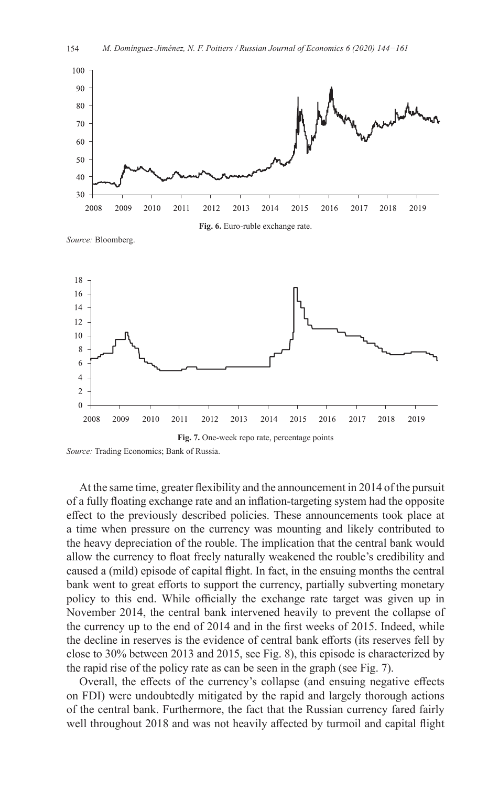

*Source:* Bloomberg.



*Source:* Trading Economics; Bank of Russia.

At the same time, greater flexibility and the announcement in 2014 of the pursuit of a fully floating exchange rate and an inflation-targeting system had the opposite effect to the previously described policies. These announcements took place at a time when pressure on the currency was mounting and likely contributed to the heavy depreciation of the rouble. The implication that the central bank would allow the currency to float freely naturally weakened the rouble's credibility and caused a (mild) episode of capital flight. In fact, in the ensuing months the central bank went to great efforts to support the currency, partially subverting monetary policy to this end. While officially the exchange rate target was given up in November 2014, the central bank intervened heavily to prevent the collapse of the currency up to the end of 2014 and in the first weeks of 2015. Indeed, while the decline in reserves is the evidence of central bank efforts (its reserves fell by close to 30% between 2013 and 2015, see Fig. 8), this episode is characterized by the rapid rise of the policy rate as can be seen in the graph (see Fig. 7).

Overall, the effects of the currency's collapse (and ensuing negative effects on FDI) were undoubtedly mitigated by the rapid and largely thorough actions of the central bank. Furthermore, the fact that the Russian currency fared fairly well throughout 2018 and was not heavily affected by turmoil and capital flight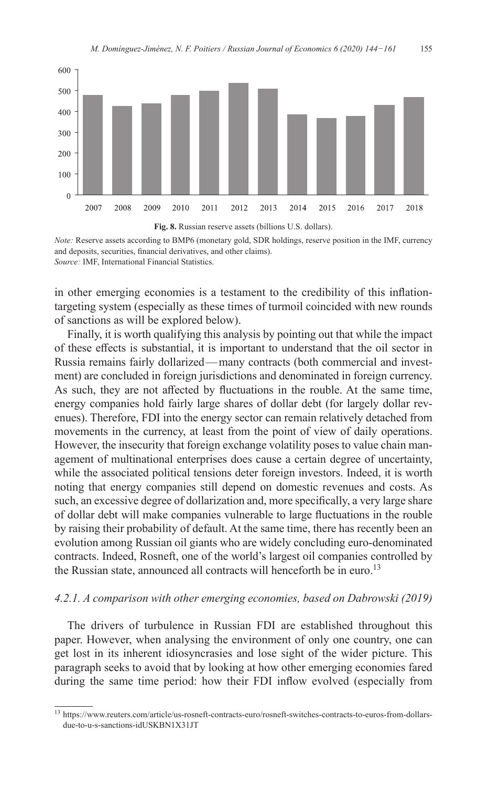



*Note:* Reserve assets according to BMP6 (monetary gold, SDR holdings, reserve position in the IMF, currency and deposits, securities, financial derivatives, and other claims). *Source:* IMF, International Financial Statistics.

in other emerging economies is a testament to the credibility of this inflationtargeting system (especially as these times of turmoil coincided with new rounds of sanctions as will be explored below).

Finally, it is worth qualifying this analysis by pointing out that while the impact of these effects is substantial, it is important to understand that the oil sector in Russia remains fairly dollarized—many contracts (both commercial and investment) are concluded in foreign jurisdictions and denominated in foreign currency. As such, they are not affected by fluctuations in the rouble. At the same time, energy companies hold fairly large shares of dollar debt (for largely dollar revenues). Therefore, FDI into the energy sector can remain relatively detached from movements in the currency, at least from the point of view of daily operations. However, the insecurity that foreign exchange volatility poses to value chain management of multinational enterprises does cause a certain degree of uncertainty, while the associated political tensions deter foreign investors. Indeed, it is worth noting that energy companies still depend on domestic revenues and costs. As such, an excessive degree of dollarization and, more specifically, a very large share of dollar debt will make companies vulnerable to large fluctuations in the rouble by raising their probability of default. At the same time, there has recently been an evolution among Russian oil giants who are widely concluding euro-denominated contracts. Indeed, Rosneft, one of the world's largest oil companies controlled by the Russian state, announced all contracts will henceforth be in euro.<sup>13</sup>

#### *4.2.1. A comparison with other emerging economies, based on Dabrowski (2019)*

The drivers of turbulence in Russian FDI are established throughout this paper. However, when analysing the environment of only one country, one can get lost in its inherent idiosyncrasies and lose sight of the wider picture. This paragraph seeks to avoid that by looking at how other emerging economies fared during the same time period: how their FDI inflow evolved (especially from

<sup>13</sup> [https://www.reuters.com/article/us-rosneft-contracts-euro/rosneft-switches-contracts-to-euros-from-dollars](https://www.reuters.com/article/us-rosneft-contracts-euro/rosneft-switches-contracts-to-euros-from-dollars-due-to-u-s-sanctions-idUSKBN1X31JT)[due-to-u-s-sanctions-idUSKBN1X31JT](https://www.reuters.com/article/us-rosneft-contracts-euro/rosneft-switches-contracts-to-euros-from-dollars-due-to-u-s-sanctions-idUSKBN1X31JT)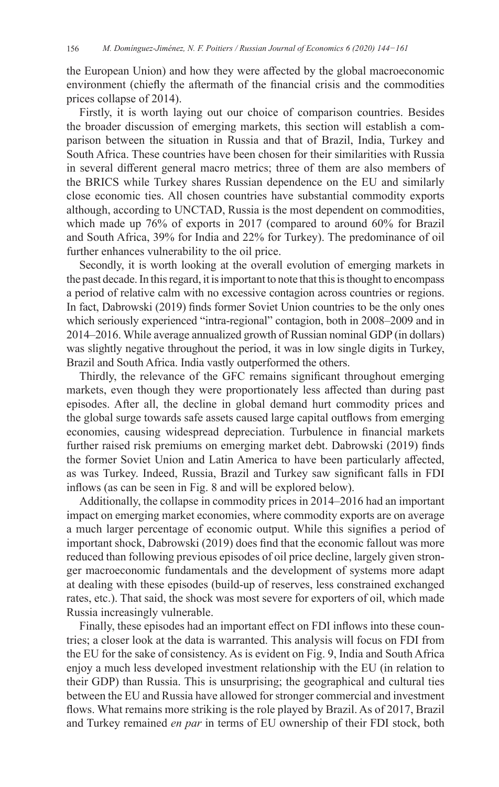the European Union) and how they were affected by the global macroeconomic environment (chiefly the aftermath of the financial crisis and the commodities prices collapse of 2014).

Firstly, it is worth laying out our choice of comparison countries. Besides the broader discussion of emerging markets, this section will establish a comparison between the situation in Russia and that of Brazil, India, Turkey and South Africa. These countries have been chosen for their similarities with Russia in several different general macro metrics; three of them are also members of the BRICS while Turkey shares Russian dependence on the EU and similarly close economic ties. All chosen countries have substantial commodity exports although, according to UNCTAD, Russia is the most dependent on commodities, which made up 76% of exports in 2017 (compared to around 60% for Brazil and South Africa, 39% for India and 22% for Turkey). The predominance of oil further enhances vulnerability to the oil price.

Secondly, it is worth looking at the overall evolution of emerging markets in the past decade. In this regard, it is important to note that this is thought to encompass a period of relative calm with no excessive contagion across countries or regions. In fact, Dabrowski (2019) finds former Soviet Union countries to be the only ones which seriously experienced "intra-regional" contagion, both in 2008–2009 and in 2014–2016. While average annualized growth of Russian nominal GDP (in dollars) was slightly negative throughout the period, it was in low single digits in Turkey, Brazil and South Africa. India vastly outperformed the others.

Thirdly, the relevance of the GFC remains significant throughout emerging markets, even though they were proportionately less affected than during past episodes. After all, the decline in global demand hurt commodity prices and the global surge towards safe assets caused large capital outflows from emerging economies, causing widespread depreciation. Turbulence in financial markets further raised risk premiums on emerging market debt. Dabrowski (2019) finds the former Soviet Union and Latin America to have been particularly affected, as was Turkey. Indeed, Russia, Brazil and Turkey saw significant falls in FDI inflows (as can be seen in Fig. 8 and will be explored below).

Additionally, the collapse in commodity prices in 2014–2016 had an important impact on emerging market economies, where commodity exports are on average a much larger percentage of economic output. While this signifies a period of important shock, Dabrowski (2019) does find that the economic fallout was more reduced than following previous episodes of oil price decline, largely given stronger macroeconomic fundamentals and the development of systems more adapt at dealing with these episodes (build-up of reserves, less constrained exchanged rates, etc.). That said, the shock was most severe for exporters of oil, which made Russia increasingly vulnerable.

Finally, these episodes had an important effect on FDI inflows into these countries; a closer look at the data is warranted. This analysis will focus on FDI from the EU for the sake of consistency. As is evident on Fig. 9, India and South Africa enjoy a much less developed investment relationship with the EU (in relation to their GDP) than Russia. This is unsurprising; the geographical and cultural ties between the EU and Russia have allowed for stronger commercial and investment flows. What remains more striking is the role played by Brazil. As of 2017, Brazil and Turkey remained *en par* in terms of EU ownership of their FDI stock, both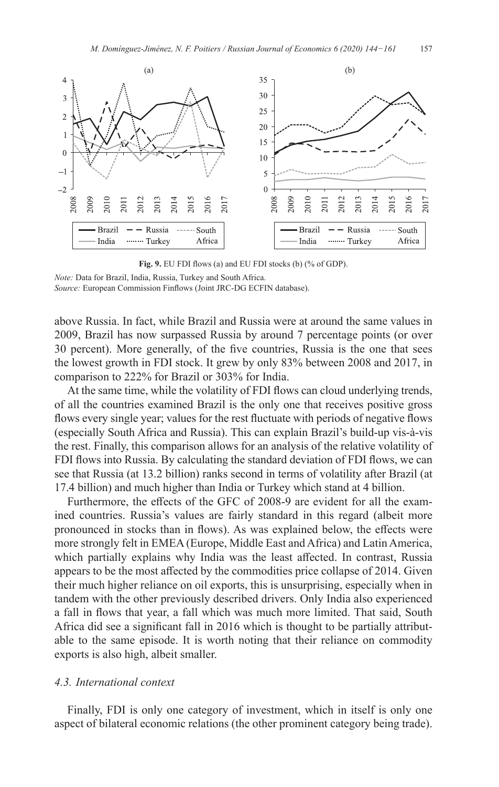

**Fig. 9.** EU FDI flows (a) and EU FDI stocks (b) (% of GDP).

*Source:* European Commission Finflows (Joint JRC-DG ECFIN database).

above Russia. In fact, while Brazil and Russia were at around the same values in 2009, Brazil has now surpassed Russia by around 7 percentage points (or over 30 percent). More generally, of the five countries, Russia is the one that sees the lowest growth in FDI stock. It grew by only 83% between 2008 and 2017, in comparison to 222% for Brazil or 303% for India.

At the same time, while the volatility of FDI flows can cloud underlying trends, of all the countries examined Brazil is the only one that receives positive gross flows every single year; values for the rest fluctuate with periods of negative flows (especially South Africa and Russia). This can explain Brazil's build-up vis-à-vis the rest. Finally, this comparison allows for an analysis of the relative volatility of FDI flows into Russia. By calculating the standard deviation of FDI flows, we can see that Russia (at 13.2 billion) ranks second in terms of volatility after Brazil (at 17.4 billion) and much higher than India or Turkey which stand at 4 billion.

Furthermore, the effects of the GFC of 2008-9 are evident for all the examined countries. Russia's values are fairly standard in this regard (albeit more pronounced in stocks than in flows). As was explained below, the effects were more strongly felt in EMEA (Europe, Middle East and Africa) and Latin America, which partially explains why India was the least affected. In contrast, Russia appears to be the most affected by the commodities price collapse of 2014. Given their much higher reliance on oil exports, this is unsurprising, especially when in tandem with the other previously described drivers. Only India also experienced a fall in flows that year, a fall which was much more limited. That said, South Africa did see a significant fall in 2016 which is thought to be partially attributable to the same episode. It is worth noting that their reliance on commodity exports is also high, albeit smaller.

#### *4.3. International context*

Finally, FDI is only one category of investment, which in itself is only one aspect of bilateral economic relations (the other prominent category being trade).

*Note:* Data for Brazil, India, Russia, Turkey and South Africa.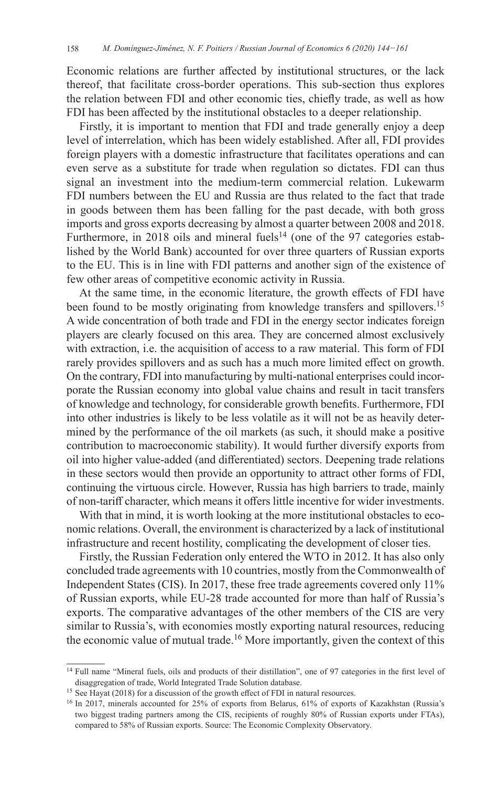Economic relations are further affected by institutional structures, or the lack thereof, that facilitate cross-border operations. This sub-section thus explores the relation between FDI and other economic ties, chiefly trade, as well as how FDI has been affected by the institutional obstacles to a deeper relationship.

Firstly, it is important to mention that FDI and trade generally enjoy a deep level of interrelation, which has been widely established. After all, FDI provides foreign players with a domestic infrastructure that facilitates operations and can even serve as a substitute for trade when regulation so dictates. FDI can thus signal an investment into the medium-term commercial relation. Lukewarm FDI numbers between the EU and Russia are thus related to the fact that trade in goods between them has been falling for the past decade, with both gross imports and gross exports decreasing by almost a quarter between 2008 and 2018. Furthermore, in 2018 oils and mineral fuels<sup>14</sup> (one of the 97 categories established by the World Bank) accounted for over three quarters of Russian exports to the EU. This is in line with FDI patterns and another sign of the existence of few other areas of competitive economic activity in Russia.

At the same time, in the economic literature, the growth effects of FDI have been found to be mostly originating from knowledge transfers and spillovers.<sup>15</sup> A wide concentration of both trade and FDI in the energy sector indicates foreign players are clearly focused on this area. They are concerned almost exclusively with extraction, i.e. the acquisition of access to a raw material. This form of FDI rarely provides spillovers and as such has a much more limited effect on growth. On the contrary, FDI into manufacturing by multi-national enterprises could incorporate the Russian economy into global value chains and result in tacit transfers of knowledge and technology, for considerable growth benefits. Furthermore, FDI into other industries is likely to be less volatile as it will not be as heavily determined by the performance of the oil markets (as such, it should make a positive contribution to macroeconomic stability). It would further diversify exports from oil into higher value-added (and differentiated) sectors. Deepening trade relations in these sectors would then provide an opportunity to attract other forms of FDI, continuing the virtuous circle. However, Russia has high barriers to trade, mainly of non-tariff character, which means it offers little incentive for wider investments.

With that in mind, it is worth looking at the more institutional obstacles to economic relations. Overall, the environment is characterized by a lack of institutional infrastructure and recent hostility, complicating the development of closer ties.

Firstly, the Russian Federation only entered the WTO in 2012. It has also only concluded trade agreements with 10 countries, mostly from the Commonwealth of Independent States (CIS). In 2017, these free trade agreements covered only 11% of Russian exports, while EU-28 trade accounted for more than half of Russia's exports. The comparative advantages of the other members of the CIS are very similar to Russia's, with economies mostly exporting natural resources, reducing the economic value of mutual trade.<sup>16</sup> More importantly, given the context of this

<sup>&</sup>lt;sup>14</sup> Full name "Mineral fuels, oils and products of their distillation", one of 97 categories in the first level of disaggregation of trade, World Integrated Trade Solution database.

<sup>&</sup>lt;sup>15</sup> See Hayat (2018) for a discussion of the growth effect of FDI in natural resources.

<sup>16</sup> In 2017, minerals accounted for 25% of exports from Belarus, 61% of exports of Kazakhstan (Russia's two biggest trading partners among the CIS, recipients of roughly 80% of Russian exports under FTAs), compared to 58% of Russian exports. Source: The Economic Complexity Observatory.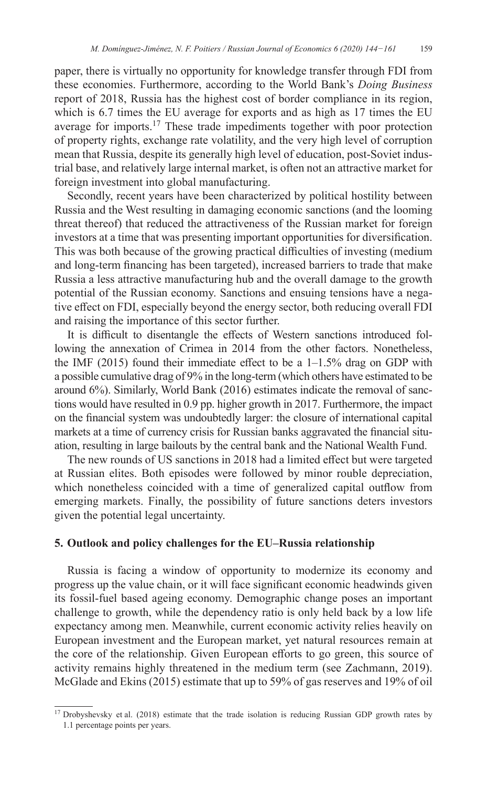paper, there is virtually no opportunity for knowledge transfer through FDI from these economies. Furthermore, according to the World Bank's *Doing Business* report of 2018, Russia has the highest cost of border compliance in its region, which is 6.7 times the EU average for exports and as high as 17 times the EU average for imports.<sup>17</sup> These trade impediments together with poor protection of property rights, exchange rate volatility, and the very high level of corruption mean that Russia, despite its generally high level of education, post-Soviet industrial base, and relatively large internal market, is often not an attractive market for foreign investment into global manufacturing.

Secondly, recent years have been characterized by political hostility between Russia and the West resulting in damaging economic sanctions (and the looming threat thereof) that reduced the attractiveness of the Russian market for foreign investors at a time that was presenting important opportunities for diversification. This was both because of the growing practical difficulties of investing (medium and long-term financing has been targeted), increased barriers to trade that make Russia a less attractive manufacturing hub and the overall damage to the growth potential of the Russian economy. Sanctions and ensuing tensions have a negative effect on FDI, especially beyond the energy sector, both reducing overall FDI and raising the importance of this sector further.

It is difficult to disentangle the effects of Western sanctions introduced following the annexation of Crimea in 2014 from the other factors. Nonetheless, the IMF (2015) found their immediate effect to be a  $1-1.5\%$  drag on GDP with a possible cumulative drag of 9% in the long-term (which others have estimated to be around 6%). Similarly, World Bank (2016) estimates indicate the removal of sanctions would have resulted in 0.9 pp. higher growth in 2017. Furthermore, the impact on the financial system was undoubtedly larger: the closure of international capital markets at a time of currency crisis for Russian banks aggravated the financial situation, resulting in large bailouts by the central bank and the National Wealth Fund.

The new rounds of US sanctions in 2018 had a limited effect but were targeted at Russian elites. Both episodes were followed by minor rouble depreciation, which nonetheless coincided with a time of generalized capital outflow from emerging markets. Finally, the possibility of future sanctions deters investors given the potential legal uncertainty.

## **5. Outlook and policy challenges for the EU–Russia relationship**

Russia is facing a window of opportunity to modernize its economy and progress up the value chain, or it will face significant economic headwinds given its fossil-fuel based ageing economy. Demographic change poses an important challenge to growth, while the dependency ratio is only held back by a low life expectancy among men. Meanwhile, current economic activity relies heavily on European investment and the European market, yet natural resources remain at the core of the relationship. Given European efforts to go green, this source of activity remains highly threatened in the medium term (see Zachmann, 2019). McGlade and Ekins (2015) estimate that up to 59% of gas reserves and 19% of oil

<sup>&</sup>lt;sup>17</sup> Drobyshevsky et al. (2018) estimate that the trade isolation is reducing Russian GDP growth rates by 1.1 percentage points per years.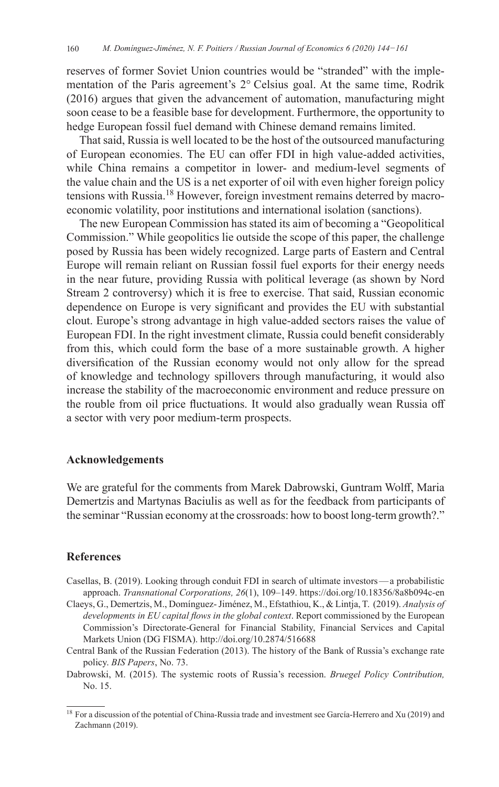reserves of former Soviet Union countries would be "stranded" with the implementation of the Paris agreement's 2°  Celsius goal. At the same time, Rodrik (2016) argues that given the advancement of automation, manufacturing might soon cease to be a feasible base for development. Furthermore, the opportunity to hedge European fossil fuel demand with Chinese demand remains limited.

That said, Russia is well located to be the host of the outsourced manufacturing of European economies. The EU can offer FDI in high value-added activities, while China remains a competitor in lower- and medium-level segments of the value chain and the US is a net exporter of oil with even higher foreign policy tensions with Russia.<sup>18</sup> However, foreign investment remains deterred by macroeconomic volatility, poor institutions and international isolation (sanctions).

The new European Commission has stated its aim of becoming a "Geopolitical Commission." While geopolitics lie outside the scope of this paper, the challenge posed by Russia has been widely recognized. Large parts of Eastern and Central Europe will remain reliant on Russian fossil fuel exports for their energy needs in the near future, providing Russia with political leverage (as shown by Nord Stream 2 controversy) which it is free to exercise. That said, Russian economic dependence on Europe is very significant and provides the EU with substantial clout. Europe's strong advantage in high value-added sectors raises the value of European FDI. In the right investment climate, Russia could benefit considerably from this, which could form the base of a more sustainable growth. A higher diversification of the Russian economy would not only allow for the spread of knowledge and technology spillovers through manufacturing, it would also increase the stability of the macroeconomic environment and reduce pressure on the rouble from oil price fluctuations. It would also gradually wean Russia off a sector with very poor medium-term prospects.

## **Acknowledgements**

We are grateful for the comments from Marek Dabrowski, Guntram Wolff, Maria Demertzis and Martynas Baciulis as well as for the feedback from participants of the seminar "Russian economy at the crossroads: how to boost long-term growth?."

### **References**

- Casellas, B. (2019). Looking through conduit FDI in search of ultimate investors—a probabilistic approach. *Transnational Corporations, 26*(1), 109–149. <https://doi.org/10.18356/8a8b094c-en>
- Claeys, G., Demertzis, M., Domínguez- Jiménez, M., Efstathiou, K., & Lintja, T. (2019). *Analysis of developments in EU capital flows in the global context*. Report commissioned by the European Commission's Directorate-General for Financial Stability, Financial Services and Capital Markets Union (DG FISMA). <http://doi.org/10.2874/516688>
- Central Bank of the Russian Federation (2013). The history of the Bank of Russia's exchange rate policy. *BIS Papers*, No. 73.
- Dabrowski, M. (2015). The systemic roots of Russia's recession. *Bruegel Policy Contribution,* No. 15.

<sup>&</sup>lt;sup>18</sup> For a discussion of the potential of China-Russia trade and investment see García-Herrero and Xu (2019) and Zachmann (2019).